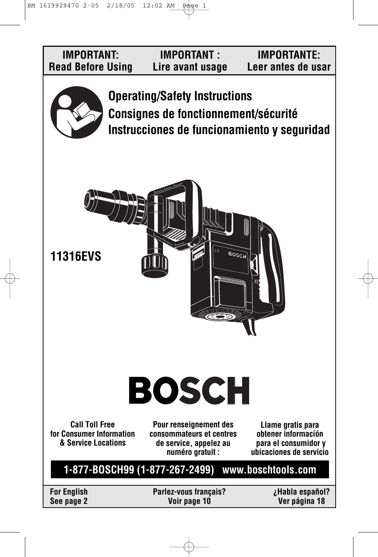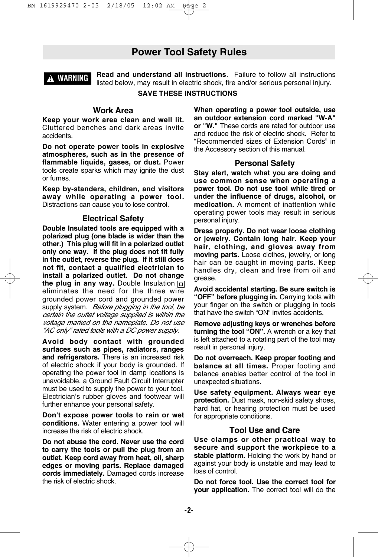### **Power Tool Safety Rules**



**Read and understand all instructions**. Failure to follow all instructions listed below, may result in electric shock, fire and/or serious personal injury.

#### **SAVE THESE INSTRUCTIONS**

#### **Work Area**

**Keep your work area clean and well lit.** Cluttered benches and dark areas invite accidents.

**Do not operate power tools in explosive atmospheres, such as in the presence of flammable liquids, gases, or dust.** Power tools create sparks which may ignite the dust or fumes.

**Keep by-standers, children, and visitors away while operating a power tool.** Distractions can cause you to lose control.

#### **Electrical Safety**

**Double Insulated tools are equipped with a polarized plug (one blade is wider than the other.) This plug will fit in a polarized outlet only one way. If the plug does not fit fully in the outlet, reverse the plug. If it still does not fit, contact a qualified electrician to install a polarized outlet. Do not change the plug in any way.** Double Insulation eliminates the need for the three wire grounded power cord and grounded power supply system. Before plugging in the tool, be certain the outlet voltage supplied is within the voltage marked on the nameplate. Do not use "AC only" rated tools with a DC power supply.

**Avoid body contact with grounded surfaces such as pipes, radiators, ranges and refrigerators.** There is an increased risk of electric shock if your body is grounded. If operating the power tool in damp locations is unavoidable, a Ground Fault Circuit Interrupter must be used to supply the power to your tool. Electrician's rubber gloves and footwear will further enhance your personal safety.

**Don't expose power tools to rain or wet conditions.** Water entering a power tool will increase the risk of electric shock.

**Do not abuse the cord. Never use the cord to carry the tools or pull the plug from an outlet. Keep cord away from heat, oil, sharp edges or moving parts. Replace damaged cords immediately.** Damaged cords increase the risk of electric shock.

**When operating a power tool outside, use an outdoor extension cord marked "W-A" or "W."** These cords are rated for outdoor use and reduce the risk of electric shock. Refer to "Recommended sizes of Extension Cords" in the Accessory section of this manual.

#### **Personal Safety**

**Stay alert, watch what you are doing and use common sense when operating a power tool. Do not use tool while tired or under the influence of drugs, alcohol, or medication.** A moment of inattention while operating power tools may result in serious personal injury.

**Dress properly. Do not wear loose clothing or jewelry. Contain long hair. Keep your hair, clothing, and gloves away from moving parts.** Loose clothes, jewelry, or long hair can be caught in moving parts. Keep handles dry, clean and free from oil and grease.

**Avoid accidental starting. Be sure switch is "OFF" before plugging in.** Carrying tools with your finger on the switch or plugging in tools that have the switch "ON" invites accidents.

**Remove adjusting keys or wrenches before turning the tool "ON".** A wrench or a key that is left attached to a rotating part of the tool may result in personal injury.

**Do not overreach. Keep proper footing and balance at all times.** Proper footing and balance enables better control of the tool in unexpected situations.

**Use safety equipment. Always wear eye protection.** Dust mask, non-skid safety shoes, hard hat, or hearing protection must be used for appropriate conditions.

#### **Tool Use and Care**

**Use clamps or other practical way to secure and support the workpiece to a stable platform.** Holding the work by hand or against your body is unstable and may lead to loss of control.

**Do not force tool. Use the correct tool for your application.** The correct tool will do the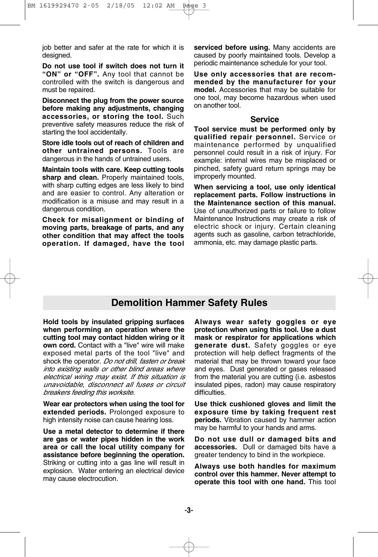job better and safer at the rate for which it is designed.

**Do not use tool if switch does not turn it "ON" or "OFF".** Any tool that cannot be controlled with the switch is dangerous and must be repaired.

**Disconnect the plug from the power source before making any adjustments, changing accessories, or storing the tool.** Such preventive safety measures reduce the risk of starting the tool accidentally.

**Store idle tools out of reach of children and other untrained persons.** Tools are dangerous in the hands of untrained users.

**Maintain tools with care. Keep cutting tools sharp and clean.** Properly maintained tools, with sharp cutting edges are less likely to bind and are easier to control. Any alteration or modification is a misuse and may result in a dangerous condition.

**Check for misalignment or binding of moving parts, breakage of parts, and any other condition that may affect the tools operation. If damaged, have the tool** **serviced before using.** Many accidents are caused by poorly maintained tools. Develop a periodic maintenance schedule for your tool.

**Use only accessories that are recommended by the manufacturer for your model.** Accessories that may be suitable for one tool, may become hazardous when used on another tool.

#### **Service**

**Tool service must be performed only by qualified repair personnel.** Service or maintenance performed by unqualified personnel could result in a risk of injury. For example: internal wires may be misplaced or pinched, safety guard return springs may be improperly mounted.

**When servicing a tool, use only identical replacement parts. Follow instructions in the Maintenance section of this manual.** Use of unauthorized parts or failure to follow Maintenance Instructions may create a risk of electric shock or injury. Certain cleaning agents such as gasoline, carbon tetrachloride, ammonia, etc. may damage plastic parts.

## **Demolition Hammer Safety Rules**

**Hold tools by insulated gripping surfaces when performing an operation where the cutting tool may contact hidden wiring or it own cord.** Contact with a "live" wire will make exposed metal parts of the tool "live" and shock the operator. Do not drill, fasten or break into existing walls or other blind areas where electrical wiring may exist. If this situation is unavoidable, disconnect all fuses or circuit breakers feeding this worksite.

**Wear ear protectors when using the tool for extended periods.** Prolonged exposure to high intensity noise can cause hearing loss.

**Use a metal detector to determine if there are gas or water pipes hidden in the work area or call the local utility company for assistance before beginning the operation.** Striking or cutting into a gas line will result in explosion. Water entering an electrical device may cause electrocution.

**Always wear safety goggles or eye protection when using this tool. Use a dust mask or respirator for applications which generate dust.** Safety goggles or eye protection will help deflect fragments of the material that may be thrown toward your face and eyes. Dust generated or gases released from the material you are cutting (i.e. asbestos insulated pipes, radon) may cause respiratory difficulties.

**Use thick cushioned gloves and limit the exposure time by taking frequent rest periods.** Vibration caused by hammer action may be harmful to your hands and arms.

**Do not use dull or damaged bits and accessories.** Dull or damaged bits have a greater tendency to bind in the workpiece.

**Always use both handles for maximum control over this hammer. Never attempt to operate this tool with one hand.** This tool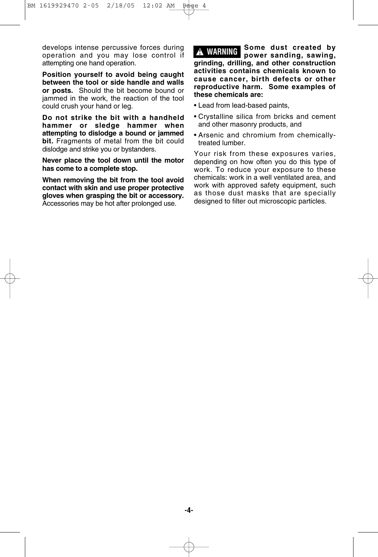develops intense percussive forces during operation and you may lose control if attempting one hand operation.

**Position yourself to avoid being caught between the tool or side handle and walls or posts.** Should the bit become bound or jammed in the work, the reaction of the tool could crush your hand or leg.

**Do not strike the bit with a handheld hammer or sledge hammer when attempting to dislodge a bound or jammed bit.** Fragments of metal from the bit could dislodge and strike you or bystanders.

**Never place the tool down until the motor has come to a complete stop.** 

**When removing the bit from the tool avoid contact with skin and use proper protective gloves when grasping the bit or accessory.** Accessories may be hot after prolonged use.

**Some dust created by power sanding, sawing, grinding, drilling, and other construction activities contains chemicals known to cause cancer, birth defects or other reproductive harm. Some examples of these chemicals are: ! WARNING**

- Lead from lead-based paints,
- Crystalline silica from bricks and cement and other masonry products, and
- Arsenic and chromium from chemicallytreated lumber.

Your risk from these exposures varies, depending on how often you do this type of work. To reduce your exposure to these chemicals: work in a well ventilated area, and work with approved safety equipment, such as those dust masks that are specially designed to filter out microscopic particles.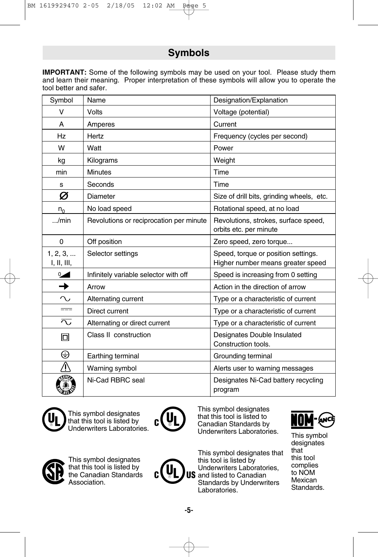## **Symbols**

**IMPORTANT:** Some of the following symbols may be used on your tool. Please study them and learn their meaning. Proper interpretation of these symbols will allow you to operate the tool better and safer.

| Symbol                  | Name                                    | Designation/Explanation                                                  |
|-------------------------|-----------------------------------------|--------------------------------------------------------------------------|
| v                       | <b>Volts</b>                            | Voltage (potential)                                                      |
| A                       | Amperes                                 | Current                                                                  |
| Hz                      | Hertz                                   | Frequency (cycles per second)                                            |
| W                       | Watt                                    | Power                                                                    |
| kg                      | Kilograms                               | Weight                                                                   |
| min                     | <b>Minutes</b>                          | Time                                                                     |
| s                       | Seconds                                 | Time                                                                     |
| Ø                       | <b>Diameter</b>                         | Size of drill bits, grinding wheels, etc.                                |
| $n_0$                   | No load speed                           | Rotational speed, at no load                                             |
| /min                    | Revolutions or reciprocation per minute | Revolutions, strokes, surface speed,<br>orbits etc. per minute           |
| 0                       | Off position                            | Zero speed, zero torque                                                  |
| 1, 2, 3,<br>I, II, III, | Selector settings                       | Speed, torque or position settings.<br>Higher number means greater speed |
| $0\overline{a}$         | Infinitely variable selector with off   | Speed is increasing from 0 setting                                       |
| $\rightarrow$           | Arrow                                   | Action in the direction of arrow                                         |
| $\sim$                  | Alternating current                     | Type or a characteristic of current                                      |
| $\qquad \qquad =$       | Direct current                          | Type or a characteristic of current                                      |
| $\overline{\sim}$       | Alternating or direct current           | Type or a characteristic of current                                      |
| 回                       | Class II construction                   | Designates Double Insulated<br>Construction tools.                       |
| ⊕                       | Earthing terminal                       | Grounding terminal                                                       |
|                         | Warning symbol                          | Alerts user to warning messages                                          |
|                         | Ni-Cad RBRC seal                        | Designates Ni-Cad battery recycling<br>program                           |



 $\mathbf{L}$ 

This symbol designates that this tool is listed by Underwriters Laboratories.



This symbol designates that this tool is listed to Canadian Standards by Underwriters Laboratories. This symbol

This symbol designates that this tool is listed by Underwriters Laboratories,  $\textsf{US}$  and listed to Canadian Standards by Underwriters Laboratories.



designates that this tool complies to NOM Mexican Standards.

This symbol designates that this tool is listed by the Canadian Standards Association.

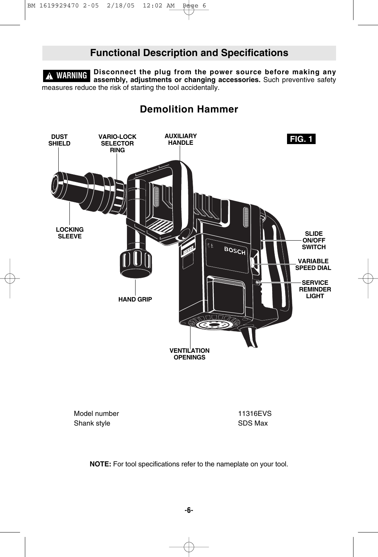## **Functional Description and Specifications**

**Disconnect the plug from the power source before making any ! WARNING assembly, adjustments or changing accessories.** Such preventive safety measures reduce the risk of starting the tool accidentally.

## **Demolition Hammer**



Model number 11316EVS Shank style Shank style SDS Max

**NOTE:** For tool specifications refer to the nameplate on your tool.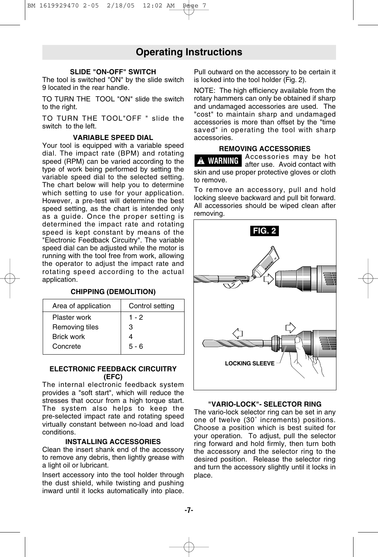## **Operating Instructions**

#### **SLIDE "ON-OFF" SWITCH**

The tool is switched "ON" by the slide switch 9 located in the rear handle.

TO TURN THE TOOL "ON" slide the switch to the right.

TO TURN THE TOOL"OFF " slide the switch to the left.

#### **VARIABLE SPEED DIAL**

Your tool is equipped with a variable speed dial. The impact rate (BPM) and rotating speed (RPM) can be varied according to the type of work being performed by setting the variable speed dial to the selected setting. The chart below will help you to determine which setting to use for your application. However, a pre-test will determine the best speed setting, as the chart is intended only as a guide. Once the proper setting is determined the impact rate and rotating speed is kept constant by means of the "Electronic Feedback Circuitry". The variable speed dial can be adjusted while the motor is running with the tool free from work, allowing the operator to adjust the impact rate and rotating speed according to the actual application.

#### **CHIPPING (DEMOLITION)**

| Area of application | Control setting |
|---------------------|-----------------|
| Plaster work        | $1 - 2$         |
| Removing tiles      | з               |
| <b>Brick work</b>   |                 |
| Concrete            | $5 - 6$         |

#### **ELECTRONIC FEEDBACK CIRCUITRY (EFC)**

The internal electronic feedback system provides a "soft start", which will reduce the stresses that occur from a high torque start. The system also helps to keep the pre-selected impact rate and rotating speed virtually constant between no-load and load conditions.

#### **INSTALLING ACCESSORIES**

Clean the insert shank end of the accessory to remove any debris, then lightly grease with a light oil or lubricant.

Insert accessory into the tool holder through the dust shield, while twisting and pushing inward until it locks automatically into place.

Pull outward on the accessory to be certain it is locked into the tool holder (Fig. 2).

NOTE: The high efficiency available from the rotary hammers can only be obtained if sharp and undamaged accessories are used. The "cost" to maintain sharp and undamaged accessories is more than offset by the "time saved" in operating the tool with sharp accessories.

#### **REMOVING ACCESSORIES**

Accessories may be hot after use. Avoid contact with skin and use proper protective gloves or cloth to remove. **! WARNING**

To remove an accessory, pull and hold locking sleeve backward and pull bit forward. All accessories should be wiped clean after removing.



#### **"VARIO-LOCK"- SELECTOR RING**

The vario-lock selector ring can be set in any one of twelve (30˚ increments) positions. Choose a position which is best suited for your operation. To adjust, pull the selector ring forward and hold firmly, then turn both the accessory and the selector ring to the desired position. Release the selector ring and turn the accessory slightly until it locks in place.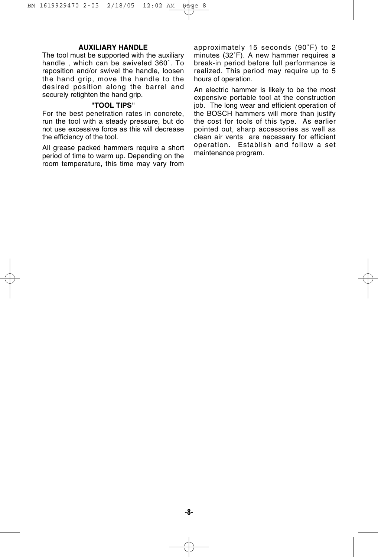#### **AUXILIARY HANDLE**

The tool must be supported with the auxiliary handle , which can be swiveled 360˚. To reposition and/or swivel the handle, loosen the hand grip, move the handle to the desired position along the barrel and securely retighten the hand grip.

#### **"TOOL TIPS"**

For the best penetration rates in concrete, run the tool with a steady pressure, but do not use excessive force as this will decrease the efficiency of the tool.

All grease packed hammers require a short period of time to warm up. Depending on the room temperature, this time may vary from

approximately 15 seconds (90˚F) to 2 minutes (32˚F). A new hammer requires a break-in period before full performance is realized. This period may require up to 5 hours of operation.

An electric hammer is likely to be the most expensive portable tool at the construction job. The long wear and efficient operation of the BOSCH hammers will more than justify the cost for tools of this type. As earlier pointed out, sharp accessories as well as clean air vents are necessary for efficient operation. Establish and follow a set maintenance program.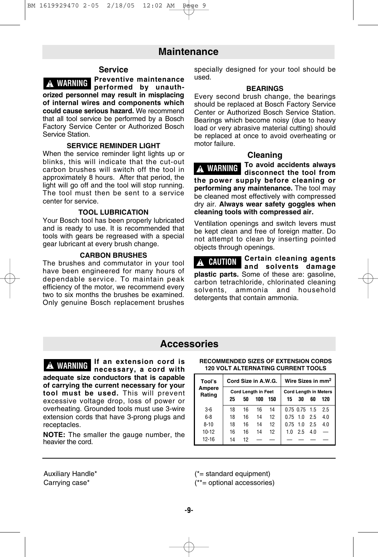### **Maintenance**

#### **Service**

**Preventive maintenance A WARNING Preventive mail enance orized personnel may result in misplacing of internal wires and components which could cause serious hazard.** We recommend that all tool service be performed by a Bosch Factory Service Center or Authorized Bosch Service Station.

#### **SERVICE REMINDER LIGHT**

When the service reminder light lights up or blinks, this will indicate that the cut-out carbon brushes will switch off the tool in approximately 8 hours. After that period, the light will go off and the tool will stop running. The tool must then be sent to a service center for service.

#### **TOOL LUBRICATION**

Your Bosch tool has been properly lubricated and is ready to use. It is recommended that tools with gears be regreased with a special gear lubricant at every brush change.

#### **CARBON BRUSHES**

The brushes and commutator in your tool have been engineered for many hours of dependable service. To maintain peak efficiency of the motor, we recommend every two to six months the brushes be examined. Only genuine Bosch replacement brushes specially designed for your tool should be used.

#### **BEARINGS**

Every second brush change, the bearings should be replaced at Bosch Factory Service Center or Authorized Bosch Service Station. Bearings which become noisy (due to heavy load or very abrasive material cutting) should be replaced at once to avoid overheating or motor failure.

#### **Cleaning**

**To avoid accidents always disconnect the tool from the power supply before cleaning or performing any maintenance.** The tool may be cleaned most effectively with compressed dry air. **Always wear safety goggles when cleaning tools with compressed air. ! WARNING**

Ventilation openings and switch levers must be kept clean and free of foreign matter. Do not attempt to clean by inserting pointed objects through openings.

**Certain cleaning agents ! CAUTION and solvents damage plastic parts.** Some of these are: gasoline, carbon tetrachloride, chlorinated cleaning solvents, ammonia and household detergents that contain ammonia.

### **Accessories**

**If an extension cord is n**<br>*I***MARNING IT all extension cord is the commenced sizes of extension conducts adequate size conductors that is capable of carrying the current necessary for your tool must be used.** This will prevent excessive voltage drop, loss of power or overheating. Grounded tools must use 3-wire extension cords that have 3-prong plugs and receptacles.

**NOTE:** The smaller the gauge number, the heavier the cord.

## **RECOMMENDED SIZES OF EXTENSION CORDS**

| Tool's           | Cord Size in A.W.G.                           |    |    |    | Wire Sizes in mm <sup>2</sup>                         |                 |     |     |
|------------------|-----------------------------------------------|----|----|----|-------------------------------------------------------|-----------------|-----|-----|
| Ampere<br>Rating | Cord Length in Feet<br>25<br>150<br>50<br>100 |    |    |    | <b>Cord Length in Meters</b><br>15<br>30<br>60<br>120 |                 |     |     |
|                  |                                               |    |    |    |                                                       |                 |     |     |
| $3-6$            | 18                                            | 16 | 16 | 14 |                                                       | $0.75$ 0.75 1.5 |     | 2.5 |
| $6 - 8$          | 18                                            | 16 | 14 | 12 |                                                       | $0.75$ 1.0 2.5  |     | 4.0 |
| $8 - 10$         | 18                                            | 16 | 14 | 12 | $0.75$ 1.0                                            |                 | 2.5 | 4.0 |
| 10-12            | 16                                            | 16 | 14 | 12 | 10                                                    | 2.5             | 4.0 |     |
| 12-16            | 14                                            | 12 |    |    |                                                       |                 |     |     |

Auxiliary Handle\* Carrying case\*

(\*= standard equipment) (\*\*= optional accessories)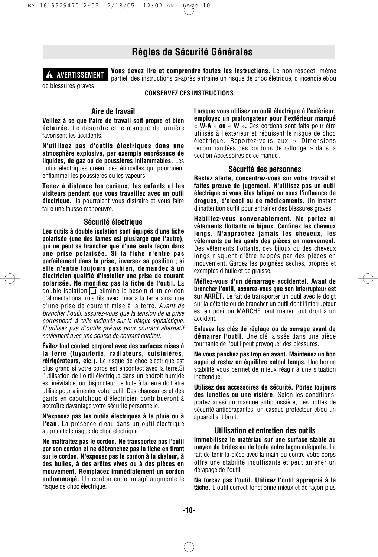## **Règles de Sécurité Générales**



**Vous devez lire et comprendre toutes les instructions.** Le non-respect, même partiel, des instructions ci-après entraîne un risque de choc életrique, d'incendie et/ou

de blessures graves.

**CONSERVEZ CES INSTRUCTIONS** 

### **Aire de travail**

**Veillez à ce que l'aire de travail soit propre et bien éclairée.** Le désordre et le manque de lumière favorisent les accidents.

**N'utilisez pas d'outils électriques dans une atmosphère explosive, par exemple enprésence de liquides, de gaz ou de poussières inflammables.** Les outils électriques créent des étincelles qui pourraient enflammer les poussières ou les vapeurs.

**Tenez à distance les curieux, les enfants et les visiteurs pendant que vous travaillez avec un outil électrique.** Ils pourraient vous distraire et vous faire faire une fausse manoeuvre.

#### **Sécurité électrique**

**Les outils à double isolation sont équipés d'une fiche polarisée (une des lames est pluslarge que l'autre), qui ne peut se brancher que d'une seule façon dans une prise polarisée. Si la fiche n'entre pas parfaitement dans la prise, inversez sa position ; si elle n'entre toujours pasbien, demandez à un électricien qualifié d'installer une prise de courant polarisée. Ne modifiez pas la fiche de l'outil.** La double isolation  $\Box$  élimine le besoin d'un cordon d'alimentationà trois fils avec mise à la terre ainsi que d'une prise de courant mise à la terre. *Avant de brancher l'outil, assurez-vous que la tension de la prise correspond, à celle indiquée sur la plaque signalétique. N'utilisez pas d'outils prévus pour courant alternatif seulement avec une source de courant continu.*

**Évitez tout contact corporel avec des surfaces mises à la terre (tuyauterie, radiateurs, cuisinières, réfrigérateurs, etc.).** Le risque de choc électrique est plus grand si votre corps est encontact avec la terre.Si l'utilisation de l'outil électrique dans un endroit humide est inévitable, un disjoncteur de fuite à la terre doit être utilisé pour alimenter votre outil. Des chaussures et des gants en caoutchouc d'électricien contribueront à accroître davantage votre sécurité personnelle.

**N'exposez pas les outils électriques à la pluie ou à l'eau.** La présence d'eau dans un outil électrique augmente le risque de choc électrique.

**Ne maltraitez pas le cordon. Ne transportez pas l'outil par son cordon et ne débranchez pas la fiche en tirant sur le cordon. N'exposez pas le cordon à la chaleur, à des huiles, à des arêtes vives ou à des pièces en mouvement. Remplacez immédiatement un cordon endommagé.** Un cordon endommagé augmente le risque de choc électrique.

**Lorsque vous utilisez un outil électrique à l'extérieur, employez un prolongateur pour l'extérieur marqué « W-A » ou « W ».** Ces cordons sont faits pour être utilisés à l'extérieur et réduisent le risque de choc électrique. Reportez-vous aux « Dimensions recommandées des cordons de rallonge » dans la section Accessoires de ce manuel.

#### **Sécurité des personnes**

**Restez alerte, concentrez-vous sur votre travail et faites preuve de jugement. N'utilisez pas un outil électrique si vous êtes fatigué ou sous l'influence de drogues, d'alcool ou de médicaments.** Un instant d'inattention suffit pour entraîner des blessures graves.

**Habillez-vous convenablement. Ne portez ni vêtements flottants ni bijoux. Confinez les cheveux longs. N'approchez jamais les cheveux, les vêtements ou les gants des pièces en mouvement.** Des vêtements flottants, des bijoux ou des cheveux longs risquent d'être happés par des pièces en mouvement. Gardez les poignées sèches, propres et exemptes d'huile et de graisse.

**Méfiez-vous d'un démarrage accidentel. Avant de brancher l'outil, assurez-vous que son interrupteur est sur ARRÈT.** Le fait de transporter un outil avec le doigt sur la détente ou de brancher un outil dont l'interrupteur est en position MARCHE peut mener tout droit à un accident.

**Enlevez les clés de réglage ou de serrage avant de démarrer l'outil.** Une clé laissée dans une pièce tournante de l'outil peut provoquer des blessures.

**Ne vous penchez pas trop en avant. Maintenez un bon appui et restez en équilibre entout temps.** Une bonne stabilité vous permet de mieux réagir à une situation inattendue.

**Utilisez des accessoires de sécurité. Portez toujours des lunettes ou une visière.** Selon les conditions, portez aussi un masque antipoussière, des bottes de sécurité antidérapantes, un casque protecteur et/ou un appareil antibruit.

#### **Utilisation et entretien des outils**

**Immobilisez le matériau sur une surface stable au moyen de brides ou de toute autre façon adéquate.** Le fait de tenir la pièce avec la main ou contre votre corps offre une stabilité insuffisante et peut amener un dérapage de l'outil.

**Ne forcez pas l'outil. Utilisez l'outil approprié à la tâche.** L'outil correct fonctionne mieux et de façon plus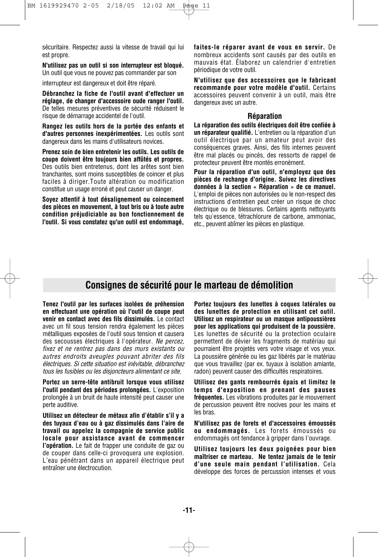sécuritaire. Respectez aussi la vitesse de travail qui lui est propre.

**N'utilisez pas un outil si son interrupteur est bloqué.** Un outil que vous ne pouvez pas commander par son

interrupteur est dangereux et doit être réparé.

**Débranchez la fiche de l'outil avant d'effectuer un réglage, de changer d'accessoire oude ranger l'outil.** De telles mesures préventives de sécurité réduisent le risque de démarrage accidentel de l'outil.

**Rangez les outils hors de la portée des enfants et d'autres personnes inexpérimentées.** Les outils sont dangereux dans les mains d'utilisateurs novices.

**Prenez soin de bien entretenir les outils. Les outils de coupe doivent être toujours bien affûtés et propres.** Des outils bien entretenus, dont les arêtes sont bien tranchantes, sont moins susceptibles de coincer et plus faciles à diriger.Toute altération ou modification constitue un usage erroné et peut causer un danger.

**Soyez attentif à tout désalignement ou coincement des pièces en mouvement, à tout bris ou à toute autre condition préjudiciable au bon fonctionnement de l'outil. Si vous constatez qu'un outil est endommagé,**

**faites-le réparer avant de vous en servir.** De nombreux accidents sont causés par des outils en mauvais état. Élaborez un calendrier d'entretien périodique de votre outil.

**N'utilisez que des accessoires que le fabricant recommande pour votre modèle d'outil.** Certains accessoires peuvent convenir à un outil, mais être dangereux avec un autre.

#### **Réparation**

**La réparation des outils électriques doit être confiée à un réparateur qualifié.** L'entretien ou la réparation d'un outil électrique par un amateur peut avoir des conséquences graves. Ainsi, des fils internes peuvent être mal placés ou pincés, des ressorts de rappel de protecteur peuvent être montés erronément.

**Pour la réparation d'un outil, n'employez que des pièces de rechange d'origine. Suivez les directives données à la section « Réparation » de ce manuel.** L'emploi de pièces non autorisées ou le non-respect des instructions d'entretien peut créer un risque de choc électrique ou de blessures. Certains agents nettoyants tels qu'essence, tétrachlorure de carbone, ammoniac, etc., peuvent abîmer les pièces en plastique.

## **Consignes de sécurité pour le marteau de démolition**

**Tenez l'outil par les surfaces isolées de préhension en effectuant une opération où l'outil de coupe peut venir en contact avec des fils dissimulés.** Le contact avec un fil sous tension rendra également les pièces métalliques exposées de l'outil sous tension et causera des secousses électriques à l'opérateur. *Ne percez, fixez et ne rentrez pas dans des murs existants ou autres endroits aveugles pouvant abriter des fils électriques. Si cette situation est inévitable, débranchez tous les fusibles ou les disjoncteurs alimentant ce site.*

**Portez un serre-tête antibruit lorsque vous utilisez l'outil pendant des périodes prolongées.** L'exposition prolongée à un bruit de haute intensité peut causer une perte auditive.

**Utilisez un détecteur de métaux afin d'établir s'il y a des tuyaux d'eau ou à gaz dissimulés dans l'aire de travail ou appelez la compagnie de service public locale pour assistance avant de commencer l'opération.** Le fait de frapper une conduite de gaz ou de couper dans celle-ci provoquera une explosion. L'eau pénétrant dans un appareil électrique peut entraîner une électrocution.

**Portez toujours des lunettes à coques latérales ou des lunettes de protection en utilisant cet outil. Utilisez un respirateur ou un masque antipoussières pour les applications qui produisent de la poussière.** Les lunettes de sécurité ou la protection oculaire permettent de dévier les fragments de matériau qui pourraient être projetés vers votre visage et vos yeux. La poussière générée ou les gaz libérés par le matériau que vous travaillez (par ex. tuyaux à isolation amiante, radon) peuvent causer des difficultés respiratoires.

**Utilisez des gants rembourrés épais et limitez le temps d'exposition en prenant des pauses fréquentes.** Les vibrations produites par le mouvement de percussion peuvent être nocives pour les mains et les bras.

**N'utilisez pas de forets et d'accessoires émoussés ou endommagés.** Les forets émoussés ou endommagés ont tendance à gripper dans l'ouvrage.

**Utilisez toujours les deux poignées pour bien maîtriser ce marteau. Ne tentez jamais de le tenir d'une seule main pendant l'utilisation.** Cela développe des forces de percussion intenses et vous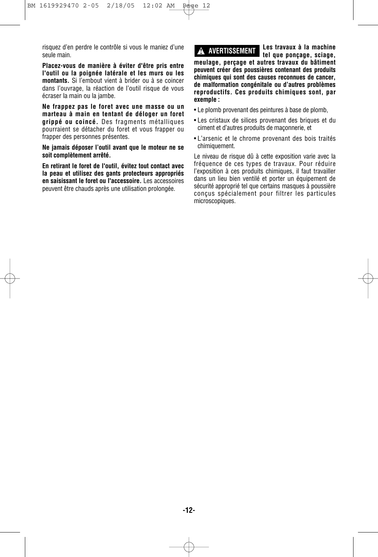risquez d'en perdre le contrôle si vous le maniez d'une seule main.

**Placez-vous de manière à éviter d'être pris entre l'outil ou la poignée latérale et les murs ou les montants.** Si l'embout vient à brider ou à se coincer dans l'ouvrage, la réaction de l'outil risque de vous écraser la main ou la jambe.

**Ne frappez pas le foret avec une masse ou un marteau à main en tentant de déloger un foret grippé ou coincé.** Des fragments métalliques pourraient se détacher du foret et vous frapper ou frapper des personnes présentes.

**Ne jamais déposer l'outil avant que le moteur ne se soit complètement arrêté.**

**En retirant le foret de l'outil, évitez tout contact avec la peau et utilisez des gants protecteurs appropriés en saisissant le foret ou l'accessoire.** Les accessoires peuvent être chauds après une utilisation prolongée.

#### **! AVERTISSEMENT**

**Les travaux à la machine tel que ponçage, sciage,**

**meulage, perçage et autres travaux du bâtiment peuvent créer des poussières contenant des produits chimiques qui sont des causes reconnues de cancer, de malformation congénitale ou d'autres problèmes reproductifs. Ces produits chimiques sont, par exemple :**

• Le plomb provenant des peintures à base de plomb,

- Les cristaux de silices provenant des briques et du ciment et d'autres produits de maçonnerie, et
- L'arsenic et le chrome provenant des bois traités chimiquement.

Le niveau de risque dû à cette exposition varie avec la fréquence de ces types de travaux. Pour réduire l'exposition à ces produits chimiques, il faut travailler dans un lieu bien ventilé et porter un équipement de sécurité approprié tel que certains masques à poussière conçus spécialement pour filtrer les particules microscopiques.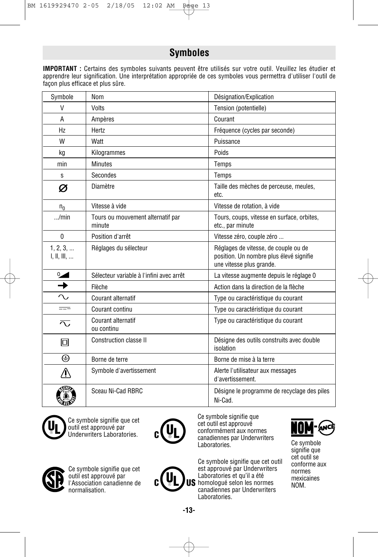## **Symboles**

**IMPORTANT :** Certains des symboles suivants peuvent être utilisés sur votre outil. Veuillez les étudier et apprendre leur signification. Une interprétation appropriée de ces symboles vous permettra d'utiliser l'outil de façon plus efficace et plus sûre.

| Symbole                 | Nom                                         | Désignation/Explication                                                                                     |
|-------------------------|---------------------------------------------|-------------------------------------------------------------------------------------------------------------|
| V                       | Volts                                       | Tension (potentielle)                                                                                       |
| A                       | Ampères                                     | Courant                                                                                                     |
| Hz                      | Hertz                                       | Fréquence (cycles par seconde)                                                                              |
| W                       | Watt                                        | Puissance                                                                                                   |
| kg                      | Kilogrammes                                 | Poids                                                                                                       |
| min                     | <b>Minutes</b>                              | Temps                                                                                                       |
| S                       | Secondes                                    | Temps                                                                                                       |
| Ø                       | Diamètre                                    | Taille des mèches de perceuse, meules,<br>etc.                                                              |
| $n_{0}$                 | Vitesse à vide                              | Vitesse de rotation, à vide                                                                                 |
| $\ldots$ /min           | Tours ou mouvement alternatif par<br>minute | Tours, coups, vitesse en surface, orbites,<br>etc., par minute                                              |
| $\mathbf{0}$            | Position d'arrêt                            | Vitesse zéro, couple zéro                                                                                   |
| 1, 2, 3,<br>I, II, III, | Réglages du sélecteur                       | Réglages de vitesse, de couple ou de<br>position. Un nombre plus élevé signifie<br>une vitesse plus grande. |
| $\sim$                  | Sélecteur variable à l'infini avec arrêt    | La vitesse augmente depuis le réglage 0                                                                     |
| $\rightarrow$           | Flèche                                      | Action dans la direction de la flèche                                                                       |
| $\sim$                  | Courant alternatif                          | Type ou caractéristique du courant                                                                          |
| $=$                     | Courant continu                             | Type ou caractéristique du courant                                                                          |
| $\overline{\sim}$       | <b>Courant alternatif</b><br>ou continu     | Type ou caractéristique du courant                                                                          |
| 冋                       | <b>Construction classe II</b>               | Désigne des outils construits avec double<br>isolation                                                      |
| ⊕                       | Borne de terre                              | Borne de mise à la terre                                                                                    |
|                         | Symbole d'avertissement                     | Alerte l'utilisateur aux messages<br>d'avertissement.                                                       |
|                         | Sceau Ni-Cad RBRC                           | Désigne le programme de recyclage des piles<br>Ni-Cad.                                                      |



A

Ce symbole signifie que cet outil est approuvé par Underwriters Laboratories.



Ce symbole signifie que cet outil est approuvé conformément aux normes canadiennes par Underwriters Laboratories. Ce symbole

Ce symbole signifie que cet outil est approuvé par Underwriters Laboratories et qu'il a été  $\operatorname{\mathsf{US}}$  homologué selon les normes canadiennes par Underwriters Laboratories.



signifie que cet outil se conforme aux normes mexicaines NOM.



Ce symbole signifie que cet outil est approuvé par l'Association canadienne de normalisation.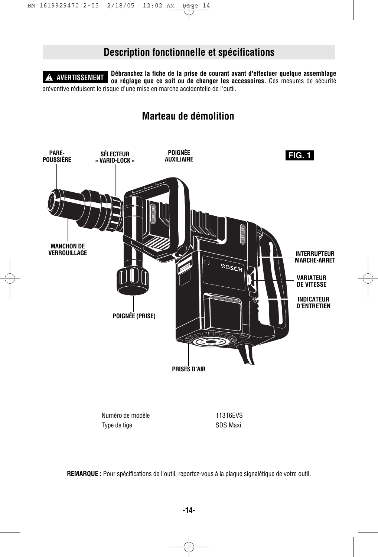## **Description fonctionnelle et spécifications**

**Débranchez la fiche de la prise de courant avant d'effectuer quelque assemblage ou réglage que ce soit ou de changer les accessoires.** Ces mesures de sécurité préventive réduisent le risque d'une mise en marche accidentelle de l'outil. **! AVERTISSEMENT**

## **Marteau de démolition**



**REMARQUE :** Pour spécifications de l'outil, reportez-vous à la plaque signalétique de votre outil.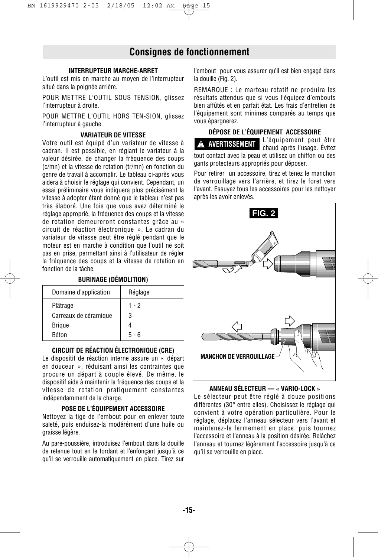## **Consignes de fonctionnement**

#### **INTERRUPTEUR MARCHE-ARRET**

L'outil est mis en marche au moyen de l'interrupteur situé dans la poignée arrière.

POUR METTRE L'OUTIL SOUS TENSION, glissez l'interrupteur à droite.

POUR METTRE L'OUTIL HORS TEN-SION, glissez l'interrupteur à gauche.

#### **VARIATEUR DE VITESSE**

Votre outil est équipé d'un variateur de vitesse à cadran. Il est possible, en réglant le variateur à la valeur désirée, de changer la fréquence des coups (c/mn) et la vitesse de rotation (tr/mn) en fonction du genre de travail à accomplir. Le tableau ci-après vous aidera à choisir le réglage qui convient. Cependant, un essai préliminaire vous indiquera plus précisément la vitesse à adopter étant donné que le tableau n'est pas très élaboré. Une fois que vous avez déterminé le réglage approprié, la fréquence des coups et la vitesse de rotation demeureront constantes grâce au « circuit de réaction électronique ». Le cadran du variateur de vitesse peut être réglé pendant que le moteur est en marche à condition que l'outil ne soit pas en prise, permettant ainsi à l'utilisateur de régler la fréquence des coups et la vitesse de rotation en fonction de la tâche.

#### **BURINAGE (DÉMOLITION)**

| Domaine d'application | Réglage |
|-----------------------|---------|
| Plâtrage              | $1 - 2$ |
| Carreaux de céramique | 3       |
| <b>Brigue</b>         |         |
| Béton                 | $5 - 6$ |

#### **CIRCUIT DE RÉACTION ÉLECTRONIQUE (CRE)**

Le dispositif de réaction interne assure un « départ en douceur », réduisant ainsi les contraintes que procure un départ à couple élevé. De même, le dispositif aide à maintenir la fréquence des coups et la vitesse de rotation pratiquement constantes indépendamment de la charge.

#### **POSE DE L'ÉQUIPEMENT ACCESSOIRE**

Nettoyez la tige de l'embout pour en enlever toute saleté, puis enduisez-la modérément d'une huile ou graisse légère.

Au pare-poussière, introduisez l'embout dans la douille de retenue tout en le tordant et l'enfonçant jusqu'à ce qu'il se verrouille automatiquement en place. Tirez sur l'embout pour vous assurer qu'il est bien engagé dans la douille (Fig. 2).

REMARQUE : Le marteau rotatif ne produira les résultats attendus que si vous l'équipez d'embouts bien affûtés et en parfait état. Les frais d'entretien de l'équipement sont minimes comparés au temps que vous épargnerez.

#### **DÉPOSE DE L'ÉQUIPEMENT ACCESSOIRE**

L'équipement peut être chaud après l'usage. Évitez tout contact avec la peau et utilisez un chiffon ou des gants protecteurs appropriés pour déposer. **! AVERTISSEMENT**

Pour retirer un accessoire, tirez et tenez le manchon de verrouillage vers l'arrière, et tirez le foret vers l'avant. Essuyez tous les accessoires pour les nettoyer après les avoir enlevés.



#### **ANNEAU SÉLECTEUR — « VARIO-LOCK »**

Le sélecteur peut être réglé à douze positions différentes (30° entre elles). Choisissez le réglage qui convient à votre opération particulière. Pour le réglage, déplacez l'anneau sélecteur vers l'avant et maintenez-le fermement en place, puis tournez l'accessoire et l'anneau à la position désirée. Relâchez l'anneau et tournez légèrement l'accessoire jusqu'à ce qu'il se verrouille en place.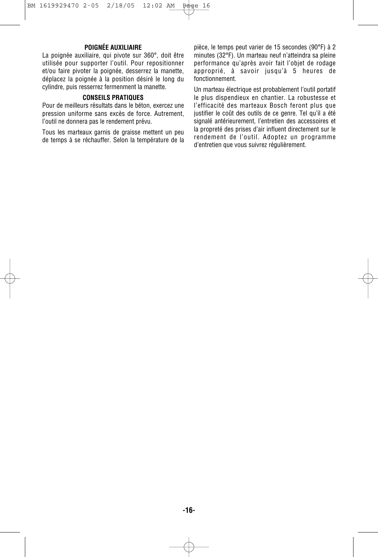#### **POIGNÉE AUXILIAIRE**

La poignée auxiliaire, qui pivote sur 360°, doit être utilisée pour supporter l'outil. Pour repositionner et/ou faire pivoter la poignée, desserrez la manette, déplacez la poignée à la position désiré le long du cylindre, puis resserrez fermenment la manette.

#### **CONSEILS PRATIQUES**

Pour de meilleurs résultats dans le béton, exercez une pression uniforme sans excès de force. Autrement, l'outil ne donnera pas le rendement prévu.

Tous les marteaux garnis de graisse mettent un peu de temps à se réchauffer. Selon la température de la pièce, le temps peut varier de 15 secondes (90°F) à 2 minutes (32°F). Un marteau neuf n'atteindra sa pleine performance qu'après avoir fait l'objet de rodage approprié, à savoir jusqu'à 5 heures de fonctionnement.

Un marteau électrique est probablement l'outil portatif le plus dispendieux en chantier. La robustesse et l'efficacité des marteaux Bosch feront plus que justifier le coût des outils de ce genre. Tel qu'il a été signalé antérieurement, l'entretien des accessoires et la propreté des prises d'air influent directement sur le rendement de l'outil. Adoptez un programme d'entretien que vous suivrez régulièrement.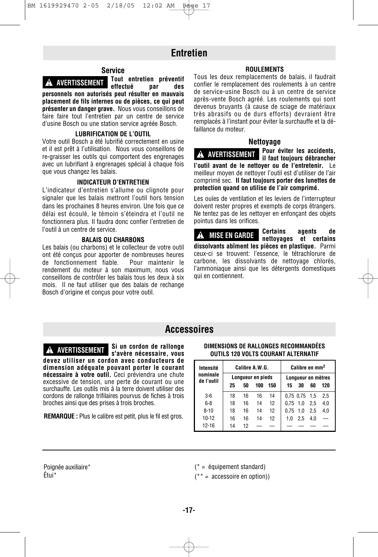## **Entretien**

#### **Service**

**Tout entretien préventif effectué par des personnels non autorisés peut résulter en mauvais placement de fils internes ou de pièces, ce qui peut ! AVERTISSEMENT**

**présenter un danger grave.** Nous vous conseillons de faire faire tout l'entretien par un centre de service d'usine Bosch ou une station service agréée Bosch.

#### **LUBRIFICATION DE L'OUTIL**

Votre outil Bosch a été lubrifié correctement en usine et il est prêt à l'utilisation. Nous vous conseillons de re-graisser les outils qui comportent des engrenages avec un lubrifiant à engrenages spécial à chaque fois que vous changez les balais.

#### **INDICATEUR D'ENTRETIEN**

L'indicateur d'entretien s'allume ou clignote pour signaler que les balais mettront l'outil hors tension dans les prochaines 8 heures environ. Une fois que ce délai est écoulé, le témoin s'éteindra et l'outil ne fonctionnera plus. Il faudra donc confier l'entretien de l'outil à un centre de service.

#### **BALAIS OU CHARBONS**

Les balais (ou charbons) et le collecteur de votre outil ont été conçus pour apporter de nombreuses heures de fonctionnement fiable. Pour maintenir le rendement du moteur à son maximum, nous vous conseillons de contrôler les balais tous les deux à six mois. Il ne faut utiliser que des balais de rechange Bosch d'origine et conçus pour votre outil.

#### **ROULEMENTS**

Tous les deux remplacements de balais, il faudrait confier le remplacement des roulements à un centre de service-usine Bosch ou à un centre de service après-vente Bosch agréé. Les roulements qui sont devenus bruyants (à cause de sciage de matériaux très abrasifs ou de durs efforts) devraient être remplacés à l'instant pour éviter la surchauffe et la défaillance du moteur.

#### **Nettoyage**

**Pour éviter les accidents, il faut toujours débrancher l'outil avant de le nettoyer ou de l'entretenir.** Le meilleur moyen de nettoyer l'outil est d'utiliser de l'air comprimé sec. **Il faut toujours porter des lunettes de protection quand on utilise de l'air comprimé. ! AVERTISSEMENT**

Les ouïes de ventilation et les leviers de l'interrupteur doivent rester propres et exempts de corps étrangers. Ne tentez pas de les nettoyer en enfonçant des objets pointus dans les orifices.

**Certains agents de nettoyages et certains dissolvants abîment les pièces en plastique.** Parmi ceux-ci se trouvent: l'essence, le tétrachlorure de carbone, les dissolvants de nettoyage chlorés, l'ammoniaque ainsi que les détergents domestiques qui en contiennent. **! MISE EN GARDE**

### **Accessoires**

**Si un cordon de rallonge s'avère nécessaire, vous devez utiliser un cordon avec conducteurs de dimension adéquate pouvant porter le courant nécessaire à votre outil.** Ceci préviendra une chute excessive de tension, une perte de courant ou une surchauffe. Les outils mis à la terre doivent utiliser des cordons de rallonge trifilaires pourvus de fiches à trois broches ainsi que des prises à trois broches. **COURTIFY ALTERNATIVES IN ALTERNATIES**<br> **CUTILS 120 VOLTS COURANT ALTERNATIF**<br> **CUTILS 120 VOLTS COURANT ALTERNATIF** 

**REMARQUE :** Plus le calibre est petit, plus le fil est gros.

# **DIMENSIONS DE RALLONGES RECOMMANDÉES**

| Intensité              | Calibre A.W.G.    |    |     |     | Calibre en mm <sup>2</sup> |               |     |     |  |
|------------------------|-------------------|----|-----|-----|----------------------------|---------------|-----|-----|--|
| nominale<br>de l'outil | Lonqueur en pieds |    |     |     | Longueur en mètres         |               |     |     |  |
|                        | 25                | 50 | 100 | 150 | 15                         | 30            | 60  | 120 |  |
| $3-6$                  | 18                | 16 | 16  | 14  |                            | 0.75 0.75 1.5 |     | 2,5 |  |
| $6 - 8$                | 18                | 16 | 14  | 12  | 0.75                       | 1.0           | 2.5 | 4,0 |  |
| $8 - 10$               | 18                | 16 | 14  | 12  | 0.75                       | 1.0           | 2.5 | 4,0 |  |
| $10 - 12$              | 16                | 16 | 14  | 12  | 1.0                        | 2.5           | 4.0 |     |  |
| $12 - 16$              | 14                | 12 |     |     |                            |               |     |     |  |

Poignée auxiliaire\* Étui\*

(\* = équipement standard)

 $* =$  accessoire en option))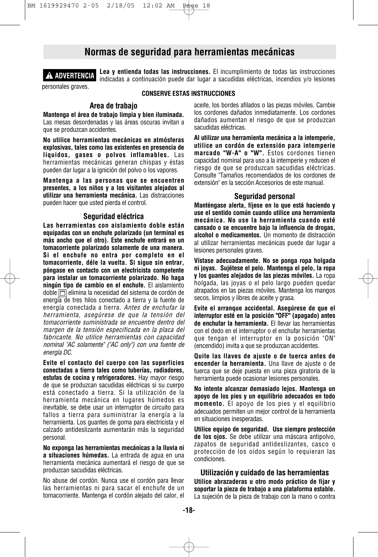## **Normas de seguridad para herramientas mecánicas**



**Lea y entienda todas las instrucciones.** El incumplimiento de todas las instrucciones indicadas a continuación puede dar lugar a sacudidas eléctricas, incendios y/o lesiones

#### **CONSERVE ESTAS INSTRUCCIONES**

#### **Area de trabajo**

**Mantenga el área de trabajo limpia y bien iluminada.** Las mesas desordenadas y las áreas oscuras invitan a que se produzcan accidentes.

**No utilice herramientas mecánicas en atmósferas explosivas, tales como las existentes en presencia de líquidos, gases o polvos inflamables.** Las herramientas mecánicas generan chispas y éstas pueden dar lugar a la ignición del polvo o los vapores.

**Mantenga a las personas que se encuentren presentes, a los niños y a los visitantes alejados al utilizar una herramienta mecánica.** Las distracciones pueden hacer que usted pierda el control.

#### **Seguridad eléctrica**

**Las herramientas con aislamiento doble están equipadas con un enchufe polarizado (un terminal es más ancho que el otro). Este enchufe entrará en un tomacorriente polarizado solamente de una manera. Si el enchufe no entra por completo en el tomacorriente, déle la vuelta. Si sigue sin entrar, póngase en contacto con un electricista competente para instalar un tomacorriente polarizado. No haga ningún tipo de cambio en el enchufe.** El aislamiento doble  $\Box$  elimina la necesidad del sistema de cordón de energía de tres hilos conectado a tierra y la fuente de energía conectada a tierra. *Antes de enchufar la herramienta, asegúrese de que la tensión del tomacorriente suministrada se encuentre dentro del margen de la tensión especificada en la placa del fabricante. No utilice herramientas con capacidad nominal "AC solamente" ("AC only") con una fuente de energía DC.*

**Evite el contacto del cuerpo con las superficies conectadas a tierra tales como tuberías, radiadores, estufas de cocina y refrigeradores.** Hay mayor riesgo de que se produzcan sacudidas eléctricas si su cuerpo está conectado a tierra. Si la utilización de la herramienta mecánica en lugares húmedos es inevitable, se debe usar un interruptor de circuito para fallos a tierra para suministrar la energía a la herramienta. Los guantes de goma para electricista y el calzado antideslizante aumentarán más la seguridad personal.

**No exponga las herramientas mecánicas a la lluvia ni a situaciones húmedas.** La entrada de agua en una herramienta mecánica aumentará el riesgo de que se produzcan sacudidas eléctricas.

No abuse del cordón. Nunca use el cordón para llevar las herramientas ni para sacar el enchufe de un tomacorriente. Mantenga el cordón alejado del calor, el aceite, los bordes afilados o las piezas móviles. Cambie los cordones dañados inmediatamente. Los cordones dañados aumentan el riesgo de que se produzcan sacudidas eléctricas.

**Al utilizar una herramienta mecánica a la intemperie, utilice un cordón de extensión para intemperie marcado "W-A" o "W".** Estos cordones tienen capacidad nominal para uso a la intemperie y reducen el riesgo de que se produzcan sacudidas eléctricas. Consulte "Tamaños recomendados de los cordones de extensión" en la sección Accesorios de este manual.

#### **Seguridad personal**

**Manténgase alerta, fíjese en lo que está haciendo y use el sentido común cuando utilice una herramienta mecánica. No use la herramienta cuando esté cansado o se encuentre bajo la influencia de drogas, alcohol o medicamentos.** Un momento de distracción al utilizar herramientas mecánicas puede dar lugar a lesiones personales graves.

**Vístase adecuadamente. No se ponga ropa holgada ni joyas. Sujétese el pelo. Mantenga el pelo, la ropa y los guantes alejados de las piezas móviles.** La ropa holgada, las joyas o el pelo largo pueden quedar atrapados en las piezas móviles. Mantenga los mangos secos, limpios y libres de aceite y grasa.

**Evite el arranque accidental. Asegúrese de que el interruptor esté en la posición "OFF" (apagado) antes de enchufar la herramienta.** El llevar las herramientas con el dedo en el interruptor o el enchufar herramientas que tengan el interruptor en la posición "ON" (encendido) invita a que se produzcan accidentes.

**Quite las llaves de ajuste o de tuerca antes de encender la herramienta.** Una llave de ajuste o de tuerca que se deje puesta en una pieza giratoria de la herramienta puede ocasionar lesiones personales.

**No intente alcanzar demasiado lejos. Mantenga un apoyo de los pies y un equilibrio adecuados en todo momento.** El apoyo de los pies y el equilibrio adecuados permiten un mejor control de la herramienta en situaciones inesperadas.

**Utilice equipo de seguridad. Use siempre protección de los ojos.** Se debe utilizar una máscara antipolvo, zapatos de seguridad antideslizantes, casco o protección de los oídos según lo requieran las condiciones.

**Utilización y cuidado de las herramientas Utilice abrazaderas u otro modo práctico de fijar y soportar la pieza de trabajo a una plataforma estable.** La sujeción de la pieza de trabajo con la mano o contra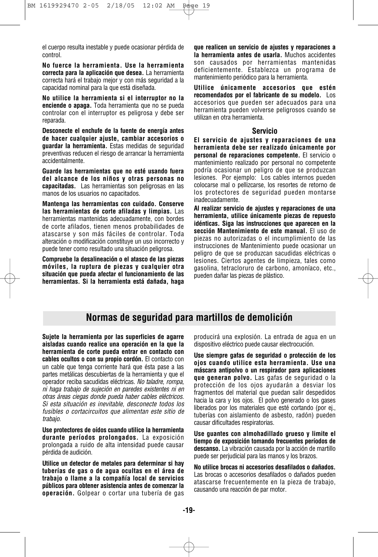el cuerpo resulta inestable y puede ocasionar pérdida de control.

**No fuerce la herramienta. Use la herramienta correcta para la aplicación que desea.** La herramienta correcta hará el trabajo mejor y con más seguridad a la capacidad nominal para la que está diseñada.

**No utilice la herramienta si el interruptor no la enciende o apaga.** Toda herramienta que no se pueda controlar con el interruptor es peligrosa y debe ser reparada.

**Desconecte el enchufe de la fuente de energía antes de hacer cualquier ajuste, cambiar accesorios o guardar la herramienta.** Estas medidas de seguridad preventivas reducen el riesgo de arrancar la herramienta accidentalmente.

**Guarde las herramientas que no esté usando fuera del alcance de los niños y otras personas no capacitadas.** Las herramientas son peligrosas en las manos de los usuarios no capacitados.

**Mantenga las herramientas con cuidado. Conserve las herramientas de corte afiladas y limpias.** Las herramientas mantenidas adecuadamente, con bordes de corte afilados, tienen menos probabilidades de atascarse y son más fáciles de controlar. Toda alteración o modificación constituye un uso incorrecto y puede tener como resultado una situación peligrosa.

**Compruebe la desalineación o el atasco de las piezas móviles, la ruptura de piezas y cualquier otra situación que pueda afectar el funcionamiento de las herramientas. Si la herramienta está dañada, haga** **que realicen un servicio de ajustes y reparaciones a la herramienta antes de usarla.** Muchos accidentes son causados por herramientas mantenidas deficientemente. Establezca un programa de mantenimiento periódico para la herramienta.

**Utilice únicamente accesorios que estén recomendados por el fabricante de su modelo.** Los accesorios que pueden ser adecuados para una herramienta pueden volverse peligrosos cuando se utilizan en otra herramienta.

#### **Servicio**

**El servicio de ajustes y reparaciones de una herramienta debe ser realizado únicamente por personal de reparaciones competente.** El servicio o mantenimiento realizado por personal no competente podría ocasionar un peligro de que se produzcan lesiones. Por ejemplo: Los cables internos pueden colocarse mal o pellizcarse, los resortes de retorno de los protectores de seguridad pueden montarse inadecuadamente.

**Al realizar servicio de ajustes y reparaciones de una herramienta, utilice únicamente piezas de repuesto idénticas. Siga las instrucciones que aparecen en la sección Mantenimiento de este manual.** El uso de piezas no autorizadas o el incumplimiento de las instrucciones de Mantenimiento puede ocasionar un peligro de que se produzcan sacudidas eléctricas o lesiones. Ciertos agentes de limpieza, tales como gasolina, tetracloruro de carbono, amoníaco, etc., pueden dañar las piezas de plástico.

## **Normas de seguridad para martillos de demolición**

**Sujete la herramienta por las superficies de agarre aisladas cuando realice una operación en la que la herramienta de corte pueda entrar en contacto con cables ocultos o con su propio cordón.** El contacto con un cable que tenga corriente hará que ésta pase a las partes metálicas descubiertas de la herramienta y que el operador reciba sacudidas eléctricas. *No taladre, rompa, ni haga trabajo de sujeción en paredes existentes ni en otras áreas ciegas donde pueda haber cables eléctricos. Si esta situación es inevitable, desconecte todos los fusibles o cortacircuitos que alimentan este sitio de trabajo.*

**Use protectores de oídos cuando utilice la herramienta durante períodos prolongados.** La exposición prolongada a ruido de alta intensidad puede causar pérdida de audición.

**Utilice un detector de metales para determinar si hay tuberías de gas o de agua ocultas en el área de trabajo o llame a la compañía local de servicios públicos para obtener asistencia antes de comenzar la operación.** Golpear o cortar una tubería de gas producirá una explosión. La entrada de agua en un dispositivo eléctrico puede causar electrocución.

**Use siempre gafas de seguridad o protección de los ojos cuando utilice esta herramienta. Use una máscara antipolvo o un respirador para aplicaciones que generan polvo.** Las gafas de seguridad o la protección de los ojos ayudarán a desviar los fragmentos del material que puedan salir despedidos hacia la cara y los ojos. El polvo generado o los gases liberados por los materiales que esté cortando (por ej., tuberías con aislamiento de asbesto, radón) pueden causar dificultades respiratorias.

**Use guantes con almohadillado grueso y limite el tiempo de exposición tomando frecuentes períodos de descanso.** La vibración causada por la acción de martillo puede ser perjudicial para las manos y los brazos.

**No utilice brocas ni accesorios desafilados o dañados.** Las brocas o accesorios desafilados o dañados pueden atascarse frecuentemente en la pieza de trabajo, causando una reacción de par motor.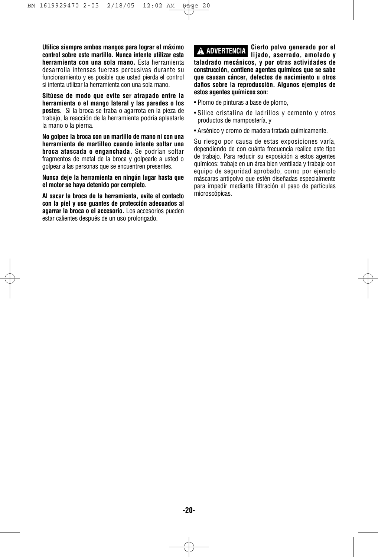**Utilice siempre ambos mangos para lograr el máximo control sobre este martillo. Nunca intente utilizar esta herramienta con una sola mano.** Esta herramienta desarrolla intensas fuerzas percusivas durante su funcionamiento y es posible que usted pierda el control si intenta utilizar la herramienta con una sola mano.

**Sitúese de modo que evite ser atrapado entre la herramienta o el mango lateral y las paredes o los postes**. Si la broca se traba o agarrota en la pieza de trabajo, la reacción de la herramienta podría aplastarle la mano o la pierna.

**No golpee la broca con un martillo de mano ni con una herramienta de martilleo cuando intente soltar una broca atascada o enganchada.** Se podrían soltar fragmentos de metal de la broca y golpearle a usted o golpear a las personas que se encuentren presentes.

**Nunca deje la herramienta en ningún lugar hasta que el motor se haya detenido por completo.**

**Al sacar la broca de la herramienta, evite el contacto con la piel y use guantes de protección adecuados al agarrar la broca o el accesorio.** Los accesorios pueden estar calientes después de un uso prolongado.

**Cierto polvo generado por el lijado, aserrado, amolado y taladrado mecánicos, y por otras actividades de construcción, contiene agentes químicos que se sabe que causan cáncer, defectos de nacimiento u otros daños sobre la reproducción. Algunos ejemplos de estos agentes químicos son: ! ADVERTENCIA**

- Plomo de pinturas a base de plomo,
- Sílice cristalina de ladrillos y cemento y otros productos de mampostería, y
- Arsénico y cromo de madera tratada químicamente.

Su riesgo por causa de estas exposiciones varía, dependiendo de con cuánta frecuencia realice este tipo de trabajo. Para reducir su exposición a estos agentes químicos: trabaje en un área bien ventilada y trabaje con equipo de seguridad aprobado, como por ejemplo máscaras antipolvo que estén diseñadas especialmente para impedir mediante filtración el paso de partículas microscópicas.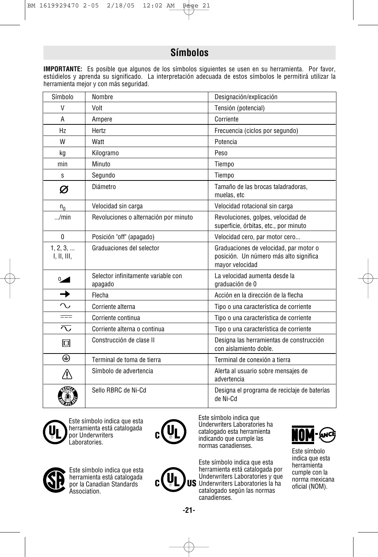## **Símbolos**

**IMPORTANTE:** Es posible que algunos de los símbolos siguientes se usen en su herramienta. Por favor, estúdielos y aprenda su significado. La interpretación adecuada de estos símbolos le permitirá utilizar la herramienta mejor y con más seguridad.

| Símbolo                 | Nombre                                         | Designación/explicación                                                                             |
|-------------------------|------------------------------------------------|-----------------------------------------------------------------------------------------------------|
| V                       | Volt                                           | Tensión (potencial)                                                                                 |
| A                       | Ampere                                         | Corriente                                                                                           |
| Hz                      | Hertz                                          | Frecuencia (ciclos por segundo)                                                                     |
| W                       | Watt                                           | Potencia                                                                                            |
| kg                      | Kilogramo                                      | Peso                                                                                                |
| min                     | Minuto                                         | Tiempo                                                                                              |
| S                       | Segundo                                        | Tiempo                                                                                              |
| Ø                       | Diámetro                                       | Tamaño de las brocas taladradoras.<br>muelas, etc                                                   |
| $n_{0}$                 | Velocidad sin carga                            | Velocidad rotacional sin carga                                                                      |
| $\ldots$ /min           | Revoluciones o alternación por minuto          | Revoluciones, golpes, velocidad de<br>superficie, órbitas, etc., por minuto                         |
| $\mathbf 0$             | Posición "off" (apagado)                       | Velocidad cero, par motor cero                                                                      |
| 1, 2, 3,<br>I, II, III, | Graduaciones del selector                      | Graduaciones de velocidad, par motor o<br>posición. Un número más alto significa<br>mayor velocidad |
| $0\overline{a}$         | Selector infinitamente variable con<br>apagado | La velocidad aumenta desde la<br>graduación de 0                                                    |
| →                       | Flecha                                         | Acción en la dirección de la flecha                                                                 |
| $\sim$                  | Corriente alterna                              | Tipo o una característica de corriente                                                              |
| $=$                     | Corriente continua                             | Tipo o una característica de corriente                                                              |
| $\overline{\wedge}$     | Corriente alterna o continua                   | Tipo o una característica de corriente                                                              |
| 冋                       | Construcción de clase II                       | Designa las herramientas de construcción<br>con aislamiento doble.                                  |
| ⊕                       | Terminal de toma de tierra                     | Terminal de conexión a tierra                                                                       |
| ^≬                      | Símbolo de advertencia                         | Alerta al usuario sobre mensajes de<br>advertencia                                                  |
|                         | Sello RBRC de Ni-Cd                            | Designa el programa de reciclaje de baterías<br>de Ni-Cd                                            |



A

Este símbolo indica que esta herramienta está catalogada por Underwriters Laboratories.



Este símbolo indica que Underwriters Laboratories ha catalogado esta herramienta indicando que cumple las normas canadienses.

Este símbolo indica que esta herramienta está catalogada por Underwriters Laboratories y que US Underwriters Laboratories la ha catalogado según las normas canadienses.



Este símbolo indica que esta herramienta cumple con la norma mexicana oficial (NOM).



Este símbolo indica que esta herramienta está catalogada por la Canadian Standards Association.

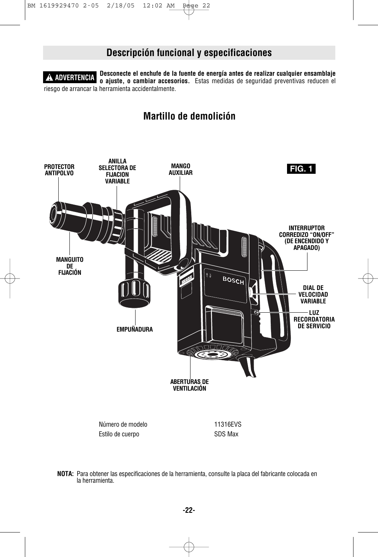## **Descripción funcional y especificaciones**

**Desconecte el enchufe de la fuente de energía antes de realizar cualquier ensamblaje o ajuste, o cambiar accesorios.** Estas medidas de seguridad preventivas reducen el riesgo de arrancar la herramienta accidentalmente. **! ADVERTENCIA**

## **Martillo de demolición**



**NOTA:** Para obtener las especificaciones de la herramienta, consulte la placa del fabricante colocada en la herramienta.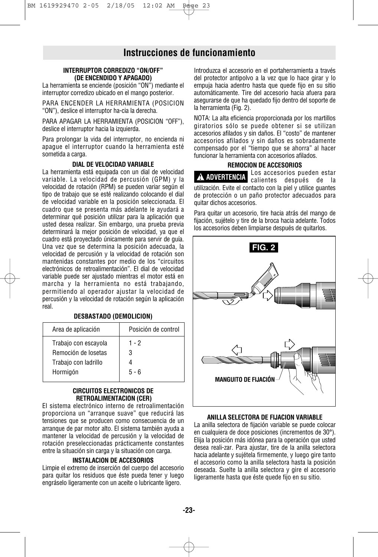## **Instrucciones de funcionamiento**

#### **INTERRUPTOR CORREDIZO "ON/OFF" (DE ENCENDIDO Y APAGADO)**

La herramienta se enciende (posición "ON") mediante el interruptor corredizo ubicado en el mango posterior.

PARA ENCENDER LA HERRAMIENTA (POSICION "ON"), deslice el interruptor ha-cia la derecha.

PARA APAGAR LA HERRAMIENTA (POSICION "OFF"), deslice el interruptor hacia la izquierda.

Para prolongar la vida del interruptor, no encienda ni apague el interruptor cuando la herramienta esté sometida a carga.

#### **DIAL DE VELOCIDAD VARIABLE**

La herramienta está equipada con un dial de velocidad variable. La velocidad de percusión (GPM) y la velocidad de rotación (RPM) se pueden variar según el tipo de trabajo que se esté realizando colocando el dial de velocidad variable en la posición seleccionada. El cuadro que se presenta más adelante le ayudará a determinar qué posición utilizar para la aplicación que usted desea realizar. Sin embargo, una prueba previa determinará la mejor posición de velocidad, ya que el cuadro está proyectado únicamente para servir de guía. Una vez que se determina la posición adecuada, la velocidad de percusión y la velocidad de rotación son mantenidas constantes por medio de los "circuitos electrónicos de retroalimentación". El dial de velocidad variable puede ser ajustado mientras el motor está en marcha y la herramienta no está trabajando, permitiendo al operador ajustar la velocidad de percusión y la velocidad de rotación según la aplicación real.

#### **DESBASTADO (DEMOLICION)**

| Area de aplicación   | Posición de control |  |  |  |
|----------------------|---------------------|--|--|--|
| Trabajo con escayola | 1 - 2               |  |  |  |
| Remoción de losetas  | 3                   |  |  |  |
| Trabajo con ladrillo |                     |  |  |  |
| Hormigón             | $5 - 6$             |  |  |  |
|                      |                     |  |  |  |

#### **CIRCUITOS ELECTRONICOS DE RETROALIMENTACION (CER)**

El sistema electrónico interno de retroalimentación proporciona un "arranque suave" que reducirá las tensiones que se producen como consecuencia de un arranque de par motor alto. El sistema también ayuda a mantener la velocidad de percusión y la velocidad de rotación preseleccionadas prácticamente constantes entre la situación sin carga y la situación con carga.

#### **INSTALACION DE ACCESORIOS**

Limpie el extremo de inserción del cuerpo del accesorio para quitar los residuos que éste pueda tener y luego engráselo ligeramente con un aceite o lubricante ligero.

Introduzca el accesorio en el portaherramienta a través del protector antipolvo a la vez que lo hace girar y lo empuja hacia adentro hasta que quede fijo en su sitio automáticamente. Tire del accesorio hacia afuera para asegurarse de que ha quedado fijo dentro del soporte de la herramienta (Fig. 2).

NOTA: La alta eficiencia proporcionada por los martillos giratorios sólo se puede obtener si se utilizan accesorios afilados y sin daños. El "costo" de mantener accesorios afilados y sin daños es sobradamente compensado por el "tiempo que se ahorra" al hacer funcionar la herramienta con accesorios afilados.

#### **REMOCION DE ACCESORIOS**

Los accesorios pueden estar **A ADVERTENCIA** cos accessorios pueden estár<br>calientes después de la utilización. Evite el contacto con la piel y utilice guantes de protección o un paño protector adecuados para quitar dichos accesorios.

Para quitar un accesorio, tire hacia atrás del mango de fijación, sujételo y tire de la broca hacia adelante. Todos los accesorios deben limpiarse después de quitarlos.



#### **ANILLA SELECTORA DE FIJACION VARIABLE**

La anilla selectora de fijación variable se puede colocar en cualquiera de doce posiciones (incrementos de 30°). Elija la posición más idónea para la operación que usted desea reali-zar. Para ajustar, tire de la anilla selectora hacia adelante y sujétela firmemente, y luego gire tanto el accesorio como la anilla selectora hasta la posición deseada. Suelte la anilla selectora y gire el accesorio ligeramente hasta que éste quede fijo en su sitio.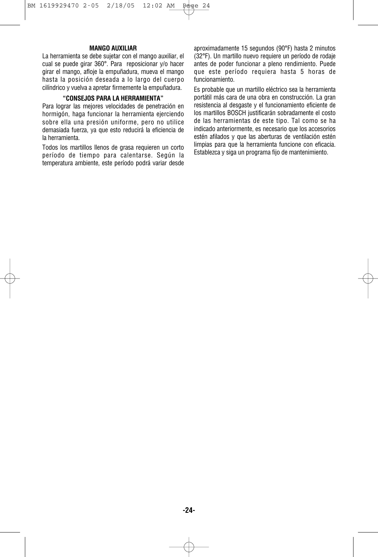#### **MANGO AUXILIAR**

La herramienta se debe sujetar con el mango auxiliar, el cual se puede girar 360°. Para reposicionar y/o hacer girar el mango, afloje la empuñadura, mueva el mango hasta la posición deseada a lo largo del cuerpo cilíndrico y vuelva a apretar firmemente la empuñadura.

#### **"CONSEJOS PARA LA HERRAMIENTA"**

Para lograr las mejores velocidades de penetración en hormigón, haga funcionar la herramienta ejerciendo sobre ella una presión uniforme, pero no utilice demasiada fuerza, ya que esto reducirá la eficiencia de la herramienta.

Todos los martillos llenos de grasa requieren un corto período de tiempo para calentarse. Según la temperatura ambiente, este período podrá variar desde aproximadamente 15 segundos (90°F) hasta 2 minutos (32°F). Un martillo nuevo requiere un período de rodaje antes de poder funcionar a pleno rendimiento. Puede que este período requiera hasta 5 horas de funcionamiento.

Es probable que un martillo eléctrico sea la herramienta portátil más cara de una obra en construcción. La gran resistencia al desgaste y el funcionamiento eficiente de los martillos BOSCH justificarán sobradamente el costo de las herramientas de este tipo. Tal como se ha indicado anteriormente, es necesario que los accesorios estén afilados y que las aberturas de ventilación estén limpias para que la herramienta funcione con eficacia. Establezca y siga un programa fijo de mantenimiento.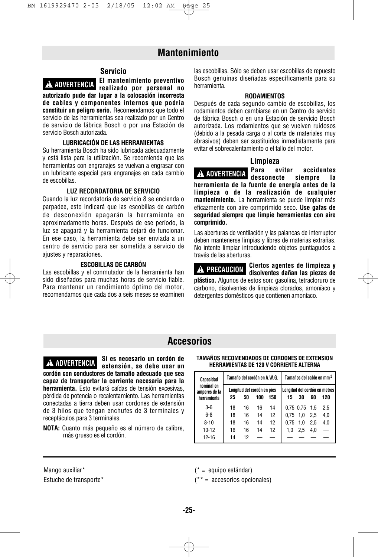## **Mantenimiento**



**El mantenimiento preventivo realizado por personal no ! ADVERTENCIA autorizado pude dar lugar a la colocación incorrecta de cables y componentes internos que podría constituir un peligro serio.** Recomendamos que todo el servicio de las herramientas sea realizado por un Centro de servicio de fábrica Bosch o por una Estación de servicio Bosch autorizada.

#### **LUBRICACIÓN DE LAS HERRAMIENTAS**

Su herramienta Bosch ha sido lubricada adecuadamente y está lista para la utilización. Se recomienda que las herramientas con engranajes se vuelvan a engrasar con un lubricante especial para engranajes en cada cambio de escobillas.

#### **LUZ RECORDATORIA DE SERVICIO**

Cuando la luz recordatoria de servicio 8 se encienda o parpadee, esto indicará que las escobillas de carbón de desconexión apagarán la herramienta en aproximadamente horas. Después de ese período, la luz se apagará y la herramienta dejará de funcionar. En ese caso, la herramienta debe ser enviada a un centro de servicio para ser sometida a servicio de ajustes y reparaciones.

#### **ESCOBILLAS DE CARBÓN**

Las escobillas y el conmutador de la herramienta han sido diseñados para muchas horas de servicio fiable. Para mantener un rendimiento óptimo del motor, recomendamos que cada dos a seis meses se examinen las escobillas. Sólo se deben usar escobillas de repuesto Bosch genuinas diseñadas específicamente para su herramienta.

#### **RODAMIENTOS**

Después de cada segundo cambio de escobillas, los rodamientos deben cambiarse en un Centro de servicio de fábrica Bosch o en una Estación de servicio Bosch autorizada. Los rodamientos que se vuelven ruidosos (debido a la pesada carga o al corte de materiales muy abrasivos) deben ser sustituidos inmediatamente para evitar el sobrecalentamiento o el fallo del motor.

#### **Limpieza**

**Para evitar accidentes desconecte siempre la herramienta de la fuente de energía antes de la limpieza o de la realización de cualquier mantenimiento.** La herramienta se puede limpiar más eficazmente con aire comprimido seco. **Use gafas de seguridad siempre que limpie herramientas con aire comprimido. ! ADVERTENCIA**

Las aberturas de ventilación y las palancas de interruptor deben mantenerse limpias y libres de materias extrañas. No intente limpiar introduciendo objetos puntiagudos a través de las aberturas.

**! PRECAUCION**

**Ciertos agentes de limpieza y disolventes dañan las piezas de**

**plástico.** Algunos de estos son: gasolina, tetracloruro de carbono, disolventes de limpieza clorados, amoníaco y detergentes domésticos que contienen amoníaco.

## **Accesorios**

**extensión, se debe usar un cordón con conductores de tamaño adecuado que sea capaz de transportar la corriente necesaria para la herramienta.** Esto evitará caídas de tensión excesivas, pérdida de potencia o recalentamiento. Las herramientas conectadas a tierra deben usar cordones de extensión de 3 hilos que tengan enchufes de 3 terminales y receptáculos para 3 terminales.

**Si es necesario un cordón de**

**NOTA:** Cuanto más pequeño es el número de calibre, más grueso es el cordón.

#### **TAMAÑOS RECOMENDADOS DE CORDONES DE EXTENSION ! ADVERTENCIA HERRAMIENTAS DE 120 V CORRIENTE ALTERNA**

| Capacidad                                  | Tamaño del cordón en A.W.G. |    |                                    |     | Tamaños del cable en mm <sup>2</sup> |           |      |                                      |
|--------------------------------------------|-----------------------------|----|------------------------------------|-----|--------------------------------------|-----------|------|--------------------------------------|
| nominal en<br>amperes de la<br>herramienta | 25                          | 50 | Longitud del cordón en pies<br>100 | 150 | 15                                   | 30        | 60   | Lonaitud del cordón en metros<br>120 |
| $3-6$                                      | 18                          | 16 | 16                                 | 14  |                                      | 0,75 0,75 | -1.5 | 2,5                                  |
| $6 - 8$                                    | 18                          | 16 | 14                                 | 12  | 0.75                                 | 1.0       | 2.5  | 4,0                                  |
| $8 - 10$                                   | 18                          | 16 | 14                                 | 12  | 0.75                                 | 1.0       | 2.5  | 4,0                                  |
| $10 - 12$                                  | 16                          | 16 | 14                                 | 12  | 1.0                                  | 2.5       | 4.0  |                                      |
| $12 - 16$                                  | 14                          | 12 |                                    |     |                                      |           |      |                                      |

Mango auxiliar\* Estuche de transporte\* (\* = equipo estándar)

(\*\* = accesorios opcionales)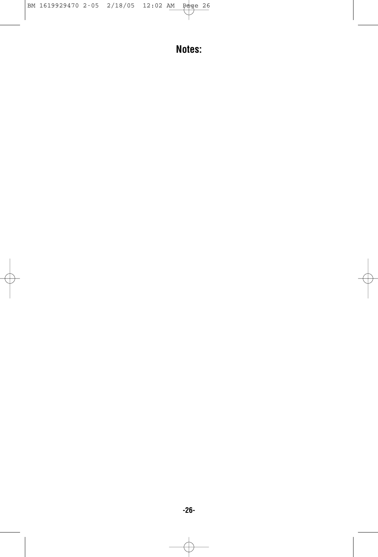**Notes:**

Æ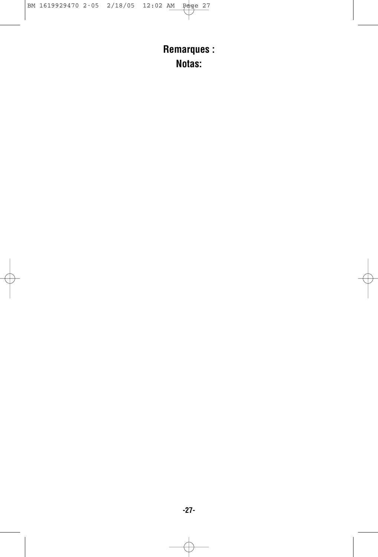**Remarques : Notas:**

F